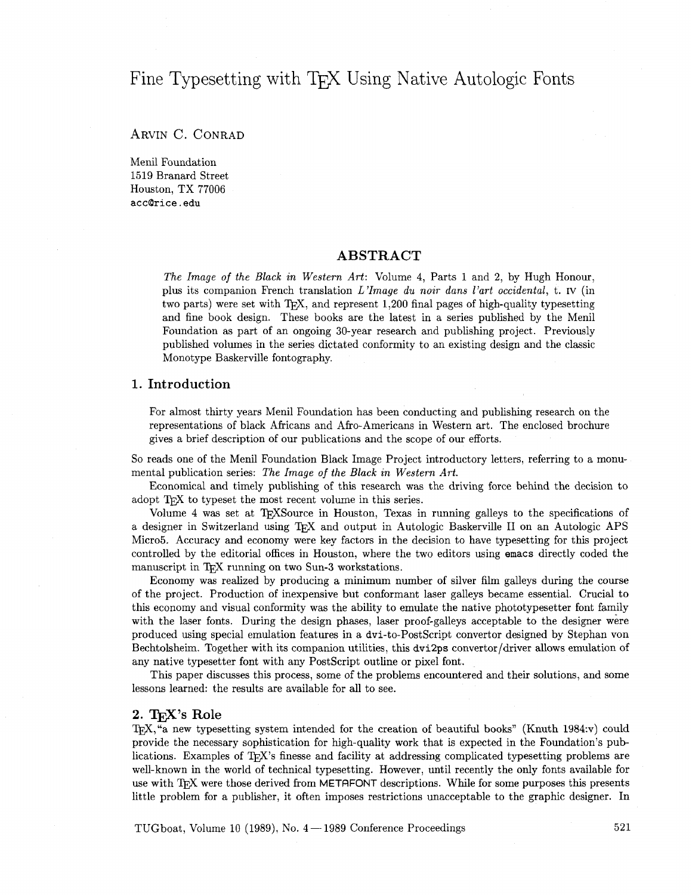## Fine Typesetting with T<sub>F</sub>X Using Native Autologic Fonts

ARVIN C. CONRAD

Menil Foundation 1519 Branard Street Houston, TX 77006 accQrice.edu

#### **ABSTRACT**

*The Image* **of** *the Black in Western* Art: Volume *4,* Parts 1 and 2, by Hugh Honour, plus its companion French translation *L'lmage du noir duns l'art occidental,* t. IV (in two parts) were set with T<sub>F</sub>X, and represent  $1,200$  final pages of high-quality typesetting and fine book design. These books are the latest in a series published by the Menil Foundation as part of an ongoing 30-year research and publishing project. Previously published volumes in the series dictated conformity to an existing design and the classic Monotype Baskerville fontography.

#### **1. Introduction**

For almost thirty years Menil Foundation has been conducting and publishing research on the representations of black Africans and Afro-Americans in Western art. The enclosed brochure gives a brief description of our publications and the scope of our efforts.

So reads one of the Menil Foundation Black Image Project introductory letters, referring to a monumental publication series: *The Image* **of** *the Black in Western* Art.

Economical and timely publishing of this research was the driving force behind the decision to adopt T<sub>F</sub>X to typeset the most recent volume in this series.

Volume 4 was set at T<sub>F</sub>XSource in Houston. Texas in running galleys to the specifications of a designer in Switzerland using T<sub>R</sub>X and output in Autologic Baskerville II on an Autologic APS Micro5. Accuracy and economy were key factors in the decision to have typesetting for this project controlled by the editorial offices in Houston, where the two editors using emacs directly coded the manuscript in T<sub>E</sub>X running on two Sun-3 workstations.

Economy was realized by producing a minimum number of silver film galleys during the course of the project. Production of inexpensive but conformant laser galleys became essential. Crucial to this economy and visual conformity was the ability to emulate the native phototypesetter font family with the laser fonts. During the design phases, laser proof-galleys acceptable to the designer were produced using special emulation features in a dvi-to-Postscript convertor designed by Stephan von Bechtolsheim. Together with its companion utilities, this dvi2ps convertor/driver allows emulation of any native typesetter font with any PostScript outline or pixel font.

This paper discusses this process, some of the problems encountered and their solutions, and some lessons learned: the results are available for all to see.

#### **2.** W's **Role**

T<sub>F</sub>X, "a new typesetting system intended for the creation of beautiful books" (Knuth 1984:v) could provide the necessary sophistication for high-quality work that is expected in the Foundation's publications. Examples of T<sub>F</sub>X's finesse and facility at addressing complicated typesetting problems are well-known in the world of technical typesetting. However, until recently the only fonts available for use with T<sub>F</sub>X were those derived from METAFONT descriptions. While for some purposes this presents little problem for a publisher, it often imposes restrictions unacceptable to the graphic designer. In

TUGboat, Volume 10 (1989), No. *4-* 1989 Conference Proceedings 521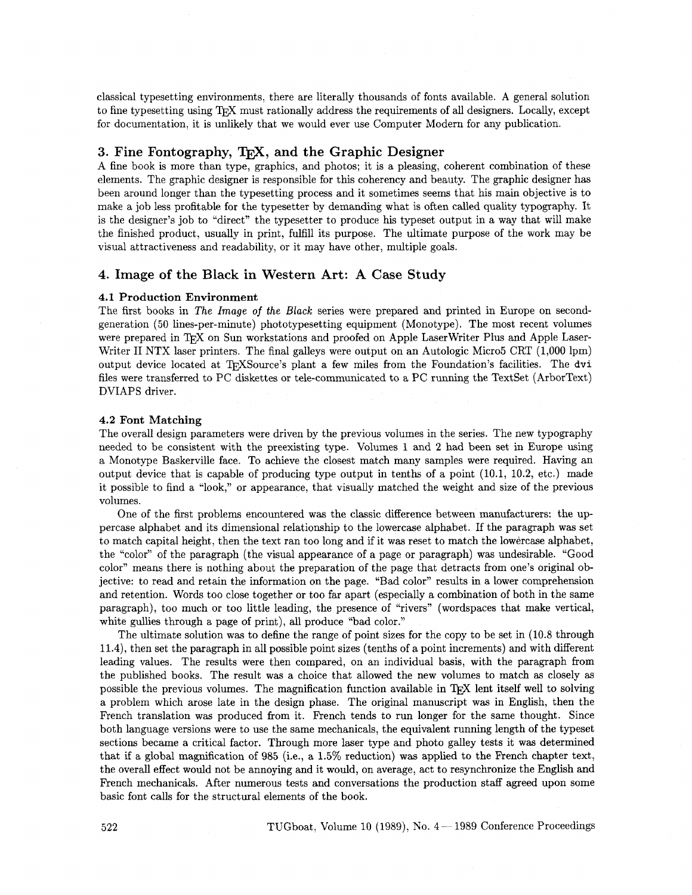classical typesetting environments, there are literally thousands of fonts available. A general solution to fine typesetting using T<sub>R</sub>X must rationally address the requirements of all designers. Locally, except for documentation, it is unlikely that we would ever use Computer Modern for any publication.

### **3. Fine Fontography, TFX, and the Graphic Designer**

A fine book is more than type, graphics, and photos; it is a pleasing, coherent combination of these elements. The graphic designer is responsible for this coherency and beauty. The graphic designer has been around longer than the typesetting process and it sometimes seems that his main objective is to make a job less profitable for the typesetter by demanding what is often called quality typography. It is the designer's job to "direct" the typesetter to produce his typeset output in a way that will make the finished product, usually in print, fulfill its purpose. The ultimate purpose of the work may be visual attractiveness and readability, or it may have other, multiple goals.

#### **4. Image of the Black in Western Art: A Case Study**

#### **4.1 Production Environment**

The first books in The Image of the Black series were prepared and printed in Europe on secondgeneration (50 lines-per-minute) phototypesetting equipment (Monotype). The most recent volumes were prepared in TFX on Sun workstations and proofed on Apple LaserWriter Plus and Apple Laser-Writer II NTX laser printers. The final galleys were output on an Autologic Micro5 CRT (1,000 lpm) output device located at T<sub>EX</sub>Source's plant a few miles from the Foundation's facilities. The dvi files were transferred to PC diskettes or tele-communicated to a PC running the TextSet (ArborText) DVIAPS driver.

#### 4.2 **Font Matching**

The overall design parameters were driven by the previous volumes in the series. The new typography needed to be consistent with the preexisting type. Volumes 1 and **2** had been set in Europe using a Monotype Baskerville face. To achieve the closest match many samples were required. Having an output device that is capable of producing type output in tenths of a point (10.1, 10.2, etc.) made it possible to find a "look," or appearance, that visually matched the weight and size of the previous volumes.

One of the fist problems encountered was the classic difference between manufacturers: the uppercase alphabet and its dimensional relationship to the lowercase alphabet. If the paragraph was set to match capital height, then the text ran too long and if it was reset to match the lowercase alphabet, the "color" of the paragraph (the visual appearance of a page or paragraph) was undesirable. "Good color" means there is nothing about the preparation of the page that detracts from one's original objective: to read and retain the information on the page. "Bad color" results in a lower comprehension and retention. Words too close together or too far apart (especially a combination of both in the same paragraph), too much or too little leading, the presence of "rivers" (wordspaces that make vertical, white gullies through a page of print), all produce "bad color."

The ultimate solution was to define the range of point sizes for the copy to be set in (10.8 through 11.4), then set the paragraph in all possible point sizes (tenths of a point increments) and with different leading values. The results were then compared, on an individual basis, with the paragraph from the published books. The result was a choice that allowed the new volumes to match as closely as possible the previous volumes. The magnification function available in T<sub>E</sub>X lent itself well to solving a problem which arose late in the design phase. The original manuscript was in English, then the French translation was produced from it. French tends to run longer for the same thought. Since both language versions were to use the same mechanicals, the equivalent running length of the typeset sections became a critical factor. Through more laser type and photo galley tests it was determined that if a global magnification of 985 (i.e., a 1.5% reduction) was applied to the French chapter text, the overall effect would not be annoying and it would, on average, act to resynchronize the English and French mechanicals. After numerous tests and conversations the production staff agreed upon some basic font calls for the structural elements of the book.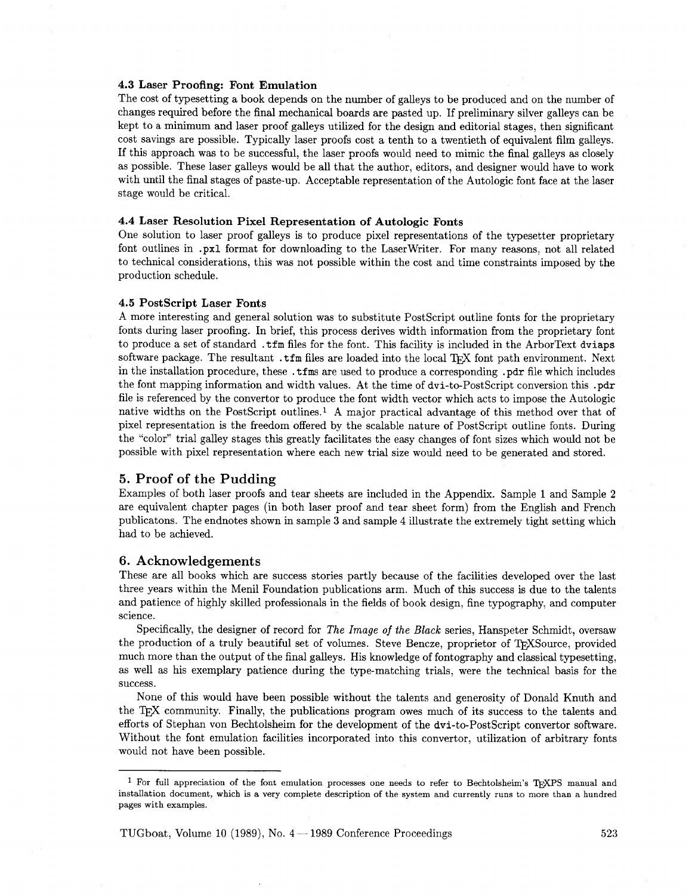#### 4.3 Laser Proofing: Font Emulation

The cost of typesetting a book depends on the number of galleys to be produced and on the number of changes required before the final mechanical boards are pasted up. If preliminary silver galleys can be kept to a minimum and laser proof galleys utilized for the design and editorial stages, then significant cost savings are possible. Typically laser proofs cost a tenth to a twentieth of equivalent film galleys. If this approach was to be successful, the laser proofs would need to mimic the final galleys as closely as possible. These laser galleys would be all that the author, editors, and designer would have to work with until the final stages of paste-up. Acceptable representation of the Autologic font face at the laser stage would be critical.

#### 4.4 Laser Resolution Pixel Representation of Autologic Fonts

One solution to laser proof galleys is to produce pixel representations of the typesetter proprietary font outlines in .pxl format for downloading to the Laserwriter. For many reasons, not all related to technical considerations, this was not possible within the cost and time constraints imposed by the production schedule.

### 4.5 PostScript Laser Fonts

A more interesting and general solution was to substitute PostScript outline fonts for the proprietary fonts during laser proofing. In brief, this process derives width information from the proprietary font to produce a set of standard . **tfm** files for the font. This facility is included in the ArborText dviaps software package. The resultant .tim files are loaded into the local TFX font path environment. Next in the installation procedure, these . **tfms** are used to produce a corresponding .pdr file which includes the font mapping information and width values. At the time of dvi-to-Postscript conversion this .pdr file is referenced by the convertor to produce the font width vector which acts to impose the Autologic native widths on the PostScript outlines.<sup>1</sup> A major practical advantage of this method over that of pixel representation is the freedom offered by the scalable nature of Postscript outline fonts. During the "color" trial galley stages this greatly facilitates the easy changes of font sizes which would not be possible with pixel representation where each new trial size would need to be generated and stored.

#### 5. Proof of the Pudding

Examples of both laser proofs and tear sheets are included in the Appendix. Sample 1 and Sample 2 are equivalent chapter pages (in both laser proof and tear sheet form) from the English and French publicatons. The endnotes shown in sample **3** and sample 4 illustrate the extremely tight setting which had to be achieved.

#### 6. Acknowledgements

These are all books which are success stories partly because of the facilities developed over the last three years within the Menil Foundation publications arm. Much of this success is due to the talents and patience of highly skilled professionals in the fields of book design, fine typography, and computer science.

Specifically, the designer of record for The Image of the Black series, Hanspeter Schmidt, oversaw the production of a truly beautiful set of volumes. Steve Bencze, proprietor of T<sub>F</sub>XSource, provided much more than the output of the final galleys. His knowledge of fontography and classical typesetting, as well as his exemplary patience during the type-matching trials, were the technical basis for the success.

None of this would have been possible without the talents and generosity of Donald Knuth and the TEX community. Finally, the publications program owes much of its success to the talents and efforts of Stephan von Bechtolsheim for the development of the dvi-to-PostScript convertor software. Without the font emulation facilities incorporated into this convertor, utilization of arbitrary fonts would not have been possible.

<sup>&</sup>lt;sup>1</sup> For full appreciation of the font emulation processes one needs to refer to Bechtolsheim's TRXPS manual and installation document, which is a very complete description of the system and currently runs to more than a hundred pages with examples.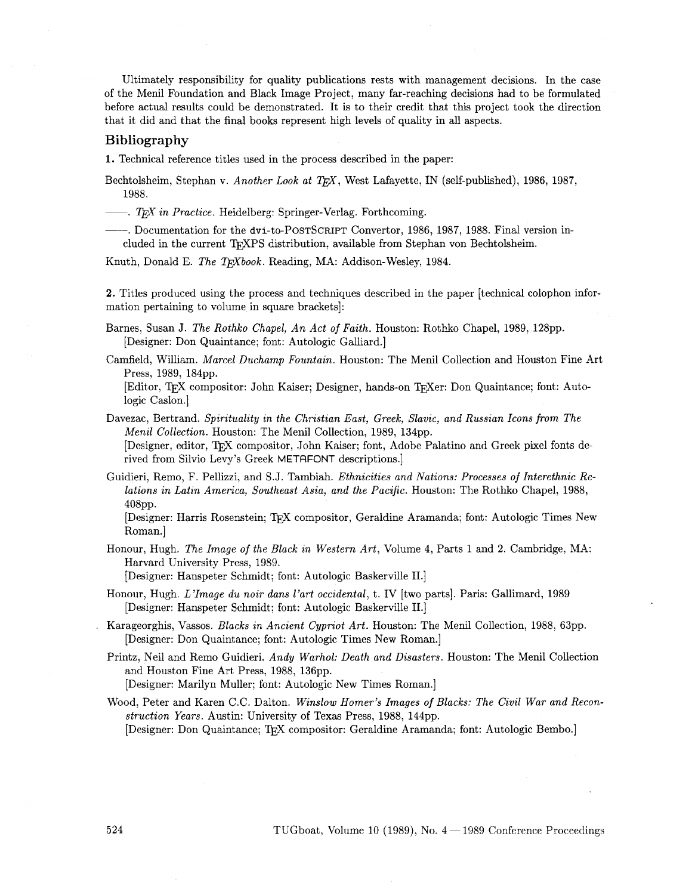Ultimately responsibility for quality publications rests with management decisions. In the case of the Menil Foundation and Black Image Project, many far-reaching decisions had to be formulated before actual results could be demonstrated. It is to their credit that this project took the direction that it did and that the final books represent high levels of quality in all aspects.

#### **Bibliography**

1. Technical reference titles used in the process described in the paper:

Bechtolsheim, Stephan v. *Another Look at TEX*, West Lafayette, IN (self-published), 1986, 1987, 1988.

-. *in Practice.* Heidelberg: Springer-Verlag. Forthcoming.

-----. Documentation for the dvi-to-POSTSCRIPT Convertor, 1986, 1987, 1988. Final version included in the current WPS distribution, available from Stephan von Bechtolsheim.

Knuth, Donald E. *The TEXbook*. Reading, MA: Addison-Wesley, 1984.

2. Titles produced using the process and techniques described in the paper [technical colophon information pertaining to volume in square brackets]:

- Barnes, Susan J. *The Rothko Chapel, An Act of Faith.* Houston: Rotbko Chapel, 1989, 128pp. [Designer: Don Quaintance; font: Autologic Galliard.]
- Camfield, William. *Marcel Duchamp Fountain.* Houston: The Menil Collection and Houston Fine Art Press, 1989, 184pp.

[Editor, TEX compositor: John Kaiser; Designer, hands-on TEXer: Don Quaintance; font: Autologic Caslon.]

- Davezac, Bertrand. *Spirituality in the Christian East, Greek, Slavic, and Russian Icons from The Menil Collection.* Houston: The Menil Collection, 1989, 134pp. [Designer, editor, TFX compositor, John Kaiser; font, Adobe Palatino and Greek pixel fonts derived from Silvio Levy's Greek METAFONT descriptions.]
- Guidieri, Remo, F. Pellizzi, and S.J. Tambiah. *Ethnicities and Nations: Processes of Interethnic Relations in Latin America, Southeast Asia, and the Pacific.* Houston: The Rothko Chapel, 1988, 408pp.<br>408pp.<br>Roman l 408pp.

Roman.]

Honour, Hugh. *The Image of the Black in Western Art,* Volume 4, Parts 1 and 2. Cambridge, MA: Harvard University Press, 1989.

[Designer: Hanspeter Schmidt; font: Autologic Baskerville 11.1

- Honour, Hugh. *L71mage du noir dans l'art occidental,* t. IV [two parts]. Paris: Gallimard, 1989 [Designer: Hanspeter Schmidt; font: Autologic Baskerville 11.1
- . Karageorghis, Vassos. *Blacks in Ancient Cypriot Art.* Houston: The Menil Collection, 1988, 63pp. [Designer: Don Quaintance; font: Autologic Times New Roman.]
- Printz, Neil and Remo Guidieri. *Andy Warhol: Death and Disasters.* Houston: The Menil Collection and Houston Fine Art Press, 1988, 136pp. [Designer: Marilyn Muller; font: Autologic New Times Roman.]
- Wood, Peter and Karen C.C. Dalton. *Window Homer's Images of Blacks: The Civil War and Reconstruction Years.* Austin: University of Texas Press, 1988, 144pp. [Designer: Don Quaintance; TFX compositor: Geraldine Aramanda; font: Autologic Bembo.]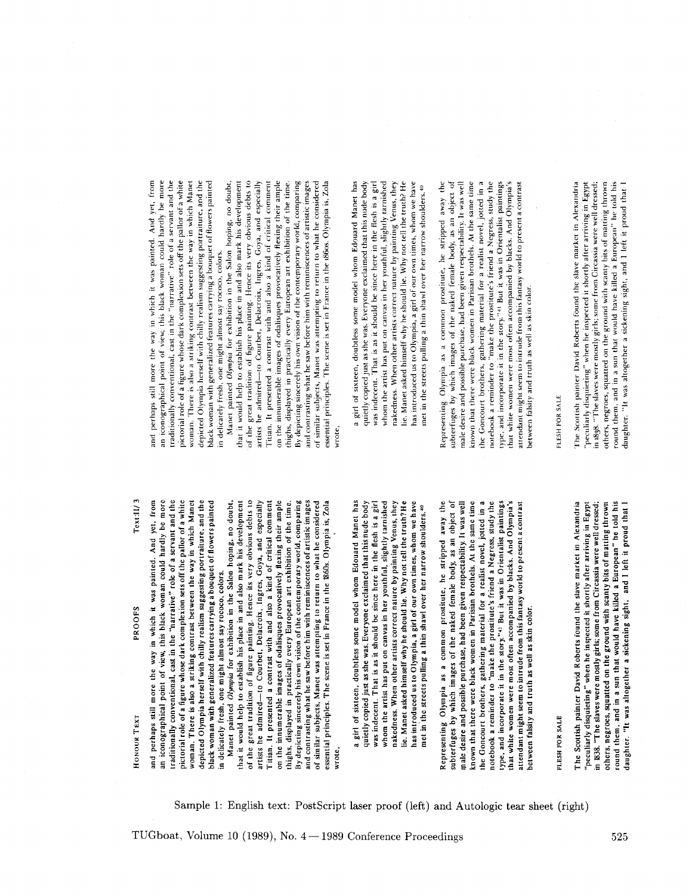HONOUR TEXT PROOFS Text:Il/ 3 PROOFS

HONOUR TEXT

Text:II/3

and perhaps still more the way in which it was painted. And yet, from an iconographical point of view. this black woman could hardly be more traditionally conventional, cast in the "narrative" role of a servant and the pictorial role of a figure whose dark complexion sets off the pallor of a white woman. There is also a striking contrast between the way in which Manet depicted Olympia herself with chilly realism suggesting portraiture, and the black woman with generalized featurescarrying a bouquet of flowers painted yet, from be more traditionally conventional, cast in the "narrative" role of a servant and the pictorial role of a figure whose dark complexion sets off the pallor of a white woman. There is also a striking contrast between the way in which Manet depicted Olympia herself with chilly realism suggesting portraiture, and the black woman with generalized features carrying a bouquet of flowers painted an iconographical point of view, this black woman could hardly And in which it was painted. in delicately fresh. one might almost say rococo. colors. in delicately fresh, one might almost say rococo, colors. way: more the perhaps still ម្លា<br>ឆ្ន

Manet painted **Olympia** for exhibition in the Salon hoping. no doubt. of the great tradition of figure painting. Hence its very obvious debts to artists he admired-to Courbet, Delacroix, Ingres. Goya, and especially Titian. It presented a contrast with and also a kind of critical comment on the innumerable images of odalisques provocatively flexing their ample By depicting sincerely his own vision of the contemporary world, comparing and contrasting what he saw before him with reminiscencesof artistic images that it would help to establish his place in and also mark his development thighs, displayed in practically every European art exhibition of the time. of similar subjects. Manet was attempting to return to what he considered essential principles. The scene is set in France in the 1860s. Olympia is, Zola of the great tradition of figure painting. Hence its very obvious debts to on the innumerable images of odalisques provocatively flexing their ample thighs, displayed in practically every European art exhibition of the time. By depicting sincerely his own vision of the contemporary world, comparing and contrasting what he saw before him with reminiscences of artistic images of similar subjects, Manet was attempting to return to what he considered Manet painted Olympia for exhibition in the Salon hoping, no doubt, that it would help to establish his place in and also mark his development artists he admired-to Courbet, Delacroix, Ingres, Goya, and especially comment essential principles. The scene is set in France in the 1860s. Olympia is, Zola Titian. It presented a contrast with and also a kind of critical wrote,

a girl of sixteen. doubtless some model whom Edouard Manet has quietly copied just as she was. Everyone exclaimed that this nude body was indecent. That is as it should be since here in the flesh is a girl whom the artist has put on canvas in her youthful, slightly tarnished nakedness. When other artists correct nature by painting Venus, they lie. Manet asked himself why he should lie. Why not tell the truth?He has introduced us to Olympia, a girl of our own times, whom we have met in the streets pulling a thin shawl over her narrow shoulders.40 a girl of sixteen, doubtless some model whom Edouard Manet has lie. Manet asked himself why he should lie. Why not tell the truth? He has introduced us to Olympia, a girl of our own times, whom we have quietly copied just as she was. Everyone exclaimed that this nude body was indecent. That is as it should be since here in the flesh is a girl whom the artist has put on canvas in her youthful, slightly tarnished nakedness. When other artists correct nature by painting Venus, they met in the streets pulling a thin shawl over her narrow shoulders.<sup>40</sup> Representing Olympia as a common prostitute. he stripped away the subterfuges by which images of the naked female body, as an object of male desire and possible purchase, had been given respectability. It was well known that there were black women in Parisian brothels. At the same time the Goncourt brothers, gathering material for a realist novel. jotted in a notebook a reminder to "make the prostitute's friend a Negress, study the ype, and incorporate it in the story."<sup>41</sup> But it was in Orientalist paintings in a that white women were most often accompanied by blacks. And Olympia's attendant might seem to intrude from this fantasy world to present a contrast away the known that there were black women in Parisian brothels. At the same time notebook a reminder to "make the prostitute's friend a Negress, study the subterfuges by which images of the naked female body, as an object of male desire and possible purchase, had been given respectability. It was well type, and incorporate it in the story."<sup>41</sup> But it was in Orientalist paintings that white women were most often accompanied by blacks. And Olympia's attendant might seem to intrude from this fantasy world to present a contrast the Goncourt brothers, gathering material for a realist novel, jotted stripped Representing Olympia as a common prostitute, he between falsity and truth as well as skin color. between falsity and truth as well as skin color.

# FLESH FOR SALE FLESH FOR SALE

in **838.** "The slaves were mostly girls; some from Circassia were well dressed; round them. and in a sun that would have killed a European" he told his daughter. "It was altogether a sickening sight. and I left it proud that 1 The Scottish painter David Roberts iound the slave market in Alexandria "peculiarly disquieting" when he inspected it shortly after arriving in Egypt others, negroes, squatted on the ground with scanty bits of matting thrown round them, and in a sun that would have killed a European" he told his daughter. "It was altogether a sickening sight, and I left it proud that I Scottish painter David Roberts found the slave market in Alexandria "peculiarly disquieting" when he inspected it shortly after arriving in Egypt 1838. "The slaves were mostly girls; some from Circassia were well dressed; others, negroes, squatted on the ground with scanty bits of matting thrown The 9

traditionally conventional, cast in the "narrative" role of a servant and the depicted Olympia herself with chilly realism suggesting portraiture, and the and perhaps atill more the way in whirh it was painted. And yet, from an iconographical point of view, this black woman could hardly be more pictorial role of a figure whose dark complexion sets off the pallor of a white woman. There is also a striking contrast between the way in which Manet black woman w~th generalized features carrying a bouquet of flowers painted from be more traditionally conventional, cast in the "narrative" role of a servant and the pictorial role of a figure whose dark complexion sets off the pallor of a white in which Manet depicted Olympia herself with chilly realism suggesting portraiture, and the black woman with generalized features carrying a bouquet of flowers painted yet, hardly in which it was painted. And an iconographical point of view, this black woman could woman. There is also a striking contrast between the way in delicately tresh, one might almost say rococo, colors. in delicately fresh, one might almost say rococo, colors. way more the and perhaps still

Manet painted *Olympia* for exhibirion in the Salon hoping, no doubt, that it would help to establish his place in and also mark his development of the great tradition of figure painting. Hence its very obvious debts to artists he admired-to Courbet, Delacroix, Ingres, Goya, and especially Titian. It presented a contrast with and also a kind of critical comment on the innumerable images of odalisques provocatively flexing their ample thighs, displayed in practically every European art exhibition of the time. By depicting sincerely his own vision of the contemporary world, comparing and contrasting what he saw before him with reminiscences of artistic images of similar subjects, Manet was attempting to return to what he considered essential princples. The scene is set in France in the 1860s. Olympia is. Zola Manet painted Olympia for exhibition in the Salon hoping, no doubt, that it would help to establish his place in and also mark his development of the great tradition of figure painting. Hence its very obvious debts to especially comment on the innumerable images of odalisques provocatively flexing their ample By depicting sincerely his own vision of the contemporary world, comparing and contrasting what he saw before him with reminiscences of artistic images of similar subjects, Manet was attempting to return to what he considered thighs, displayed in practically every European art exhibition of the time. essential principles. The scene is set in France in the 1860s. Olympia is, Zola he admired-to Courbet, Delacroix, Ingres, Goya, and Titian. It presented a contrast with and also a kind of critical artists wrote,

lie. Manet asked himself why he should he. Why not tell the truth? He a girl of sixteen, doubtless some model whom Edouard Manet has quletly copied just as she was. Everyone exclaimed that this nude body was indecent. That is as it should be since here in the flesh is a girl whom the artist has put on canvas in her youthful, slightly tarnished nakedness. When other artists correct nature by painting Venus, they has introduced us to Olympia, a girl of our own times, whom we have quietly copied just as she was. Everyone exclaimed that this nude body whom the artist has put on canvas in her youthful, slightly tarnished lie. Manet asked himself why he should lie. Why not tell the truth? He a girl of sixteen, doubtless some model whom Edouard Manet has was indecent. That is as it should be since here in the flesh is a girl nakedness. When other artists correct nature by painting Venus, they has introduced us to Olympia, a girl of our own times, whom we have met in the streets pulling a thin shawl over her narrow shoulders.<sup>40</sup> met in the streets pulling a thin shawl over her narrow shoulders.40

Representing Olympia as a common prostitute, he stripped away the male desire and possible purchase, had been given respectability. It was well known that there were black women in Parislan brothels. At the same time the Goncourt brothers, gathering material for a realist novel, jotted in a notebook a reminder to "make the prosritute's friend a Negress, study the type, and incorporate it in the story."41 Rut it was in Orientalist paintings that white women were most often accompanied by blacks. And Olympia's atrendant might seem to intrude from this fantasy world to present a contrast  $\ddot{e}$ subterfuges by which images of the naked female body, as an object of subterfuges by which images of the naked female body, as an ob,ject of known that there were black women in Parisian brothels. At the same time the Goncourt brothers, gathering material for a realist novel, jotted in a male desire and possible purchase, had been given respectability. It was well notebook a reminder to "make the prostitute's friend a Negress, study the paintings that white women were most often accompanied by blacks. And Olympia's attendant might seem to intrude from this fantasy world to present a contrast away stripped type, and incorporate it in the story."<sup>41</sup> But it was in Orientalist he Representing Olympia as a common prostitute, between falsity and truth as well as skin color. between falsity and truth as well as skin color.

## **FLESH FOR SALL**  FLESH FOR SALE

The Scottish painter David Roberts found the slave market in Alexandria in 1838. ".l'he slaves were mostly girls; some from Circassia were well dressed; round them, and in a sun that would have killed a European" he told his daughter. "It was altogether a sickening sight, and 1 left it proud that 1 "peculiarly disquieting" when he inspected it shortly after arriving in Egypt others, negroes, squatted on the ground with scanty bits of matting thrown others, negroes, squatted on the ground with scanty bits of matting thrown "It was altogether a sickening sight, and I left it proud that I The Scottish painter David Roberts found the slave market in Alexandria "peculiarly disquieting" when he inspected it shortly after arriving in Egypt in 1898. "The slaves were mostly girls; some from Circassia were well dressed; round them, and in a sun that would have killed a European" he told his daughter.

TUGboat, Volume 10 (1989), No. 4-1989 Conference Proceedings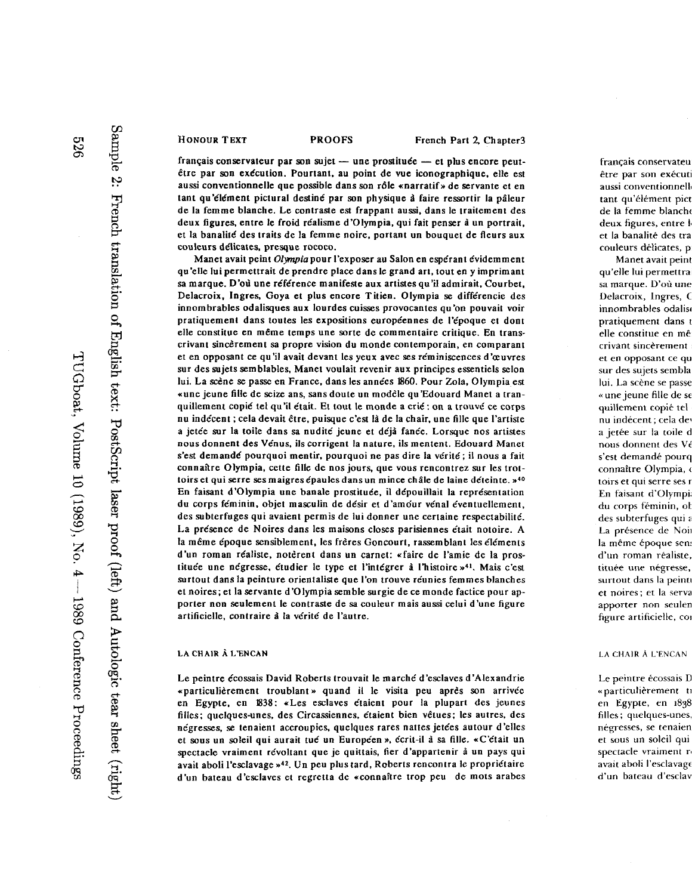**HONOUR** TEXT PROOFS French Part **2** Chapter3

français conservateur par son sujet - une prostituée - et plus encore peutêtre par son exécution. Pourtant, au point de vue iconographique, elle est aussi conventionnelle que possible dans son rôle «narratif» de servante et en tant qu'élément pictural destiné par son physique à faire ressortir la pâleur de la femme hlanche. Le contraste est frappant aussi, dans le traitement des deux figures, entre le froid réalisme d'Olympia, qui fait penser à un portrait, et la banalité des traits de la femme noire, portant un bouquet de fleurs aux couleurs délicates, presque rococo.

Manet avait peint Olympia pour l'exposer au Salon en espérant évidemment qu'elle hi permettrait de prendre place dansle grand art, tout en y imprimant sa marque. D'où une référence manifeste aux artistes qu'il admirait. Courbet. Delacroix, Ingres, Goya et plus encore Titien. Olympia se différencie des innomhrables odalisques anx lonrdes cuisses provocantes qu'on pouvait voir pratiquement dans toutes les expositions européennes de l'époque et dont elle constitue en même temps une sorte de commentaire critique. En transcrivant sincèrement sa propre vision du monde contemporain, en comparant et en opposant ce qu'il avait devant les yeux avec ses réminiscences d'œuvres sur des sujets semblables. Manet voulait revenir aux principes essentiels selon hui. La scène se passe en France, dans les années 1860. Pour Zola, Olympia est uune jeune fille de seize ans, sans doute un moddle qu'Edouard Manet a tranquillement copié tel qu'il était. Et tout le monde a crié : on a trouvé ce corps nu indécent ; cela devait être, puisque c'est là de la chair, une fille que l'artiste a jetée sur la toile dans sa nudité jeune et déjà fanée. Lorsque nos artistes nous donnent des Vénus, ils corrigent la nature, ils mentent. Edouard Manet s'est demandé pourquoi mentir, pourquoi ne pas dire la vérité; il nous a fait connaitre Olympia, cette fille de nos jours. que vous rencontrez sur les trottoirs et qui serre ses maigres épaules dans un mince châle de laine déteinte. »<sup>40</sup> En faisant d'Olympia une banale prostituée, il dépouillait la représentation du corps féminin, objet masculin de désir et d'amour vénal éventuellement, des subterfuges qui avaient permis de lui donner une certaine respectabilité. La présence de Noires dans les maisons closes parisiennes était notoire. A la même époque sensiblement, les frères Goncourt, rassemblant les éléments d'un roman réaliste, notèrent dans un carnet: «faire de l'amie de la prostituée une négresse, étudier le type et l'intégrer à l'histoire »<sup>41</sup>. Mais c'est surtout dans la peinture orientaliste que l'on trouve réunies femmes blanches et noires; et la servante d'olympia semble surgie de ce monde factice pour apporter non seulement le contraste de sa couleur mais aussi celui d'une figure artificielle, contraire à la vérité de l'autre.

#### **LA CHAIR** *I\* **L'ENCAN**

Le peintre écossais David Roberts trouvait le marché d'esclaves d'Alexandrie «particulièrement troublant» quand il le visita peu après son arrivée en Egypte, en 1838: «Les esclaves étaient pour la plupart des jeunes filles; quelques-unes, des Circassiennes, étaient bien vêtues; les autres, des négresses, se tenaient accroupies, quelques rares nattes jetées autour d'elles et sous un soleil qui aurait tué un Européen », écrit-il à sa fille. «C'était un spectacle vraiment révoltant que je quittais, fier d'appartenir à un pays qui avait aboli l'esclavage »<sup>42</sup>. Un peu plus tard, Roberts rencontra le propriétaire d'un bateau d'esclaves et regretta de «connaître trop peu de mots arabes

français conservateur<br>Par son super suite être par son exécut aussi conventionnell tant qu'élément pict de la femme blanche deux figures, entre l et la banalité des tra couleurs délicates, p

Manet avait peint qu'elle lui permettra sa marque. D'où une Delacroix, Ingres, O innombrables odalise pratiquement dans t elle constitue en mê crivant sincèrement et en opposant ce qu sur des sujets sembla hui. La scène se passe « une jeune fille de se quillement copié tel nu indécent ; cela de<sup>,</sup> a jetée sur la toile d nous donnent des Ve s'est demandé pourq connaître Olympia, que toirs et qui serre ses n En faisant d'Olympi du corps féminin, ob des subterfuges qui a La présence de Noires la même époque sens d'un roman réaliste, tituée une négresse, surtout dans la peint et noires; et la serva apporter non seuler figure artificielle, contra

#### **LA CHAIR** A **L'ENCAN**

Le peintre écossais D « particulièrement ti en Egypte, en 1838 filles; quelques-unes. négresses, se tenaien et sous un soleil qui spectacle vraiment r avait aboli l'esclavage d'un bateau d'esclav

Sample 2: French translation of English text: PostScript laser proof (left) and Autologic tear sheet (right)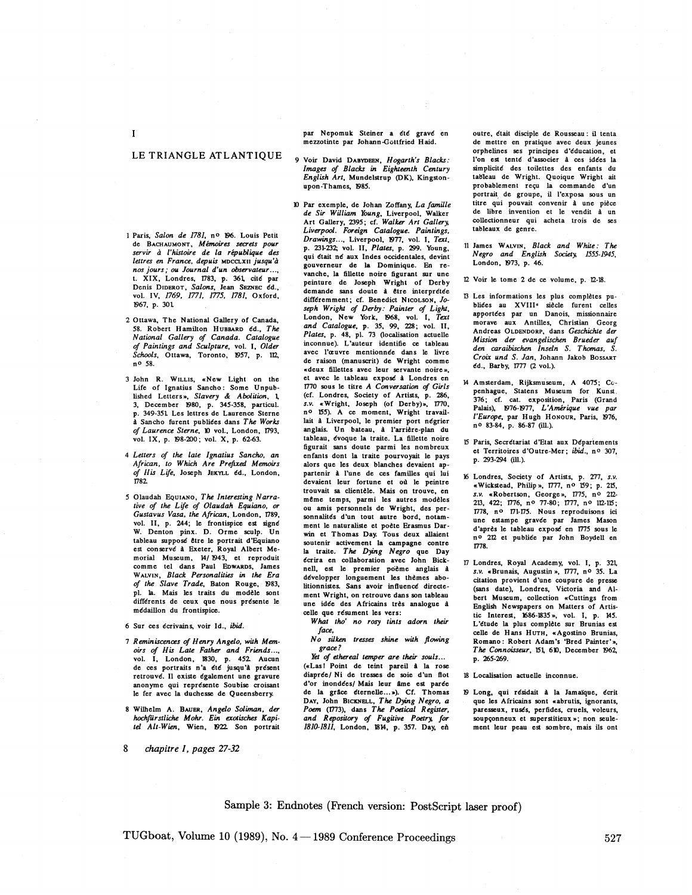#### LE TRIANGLE ATLANTIQUE

 $\mathbf I$ 

- 1 Paris, Salon de 1781, nº 196. Louis Petit de BACHAUMONT, Mémoires secrets pour servir à l'histoire de la république des lettres en France, depuis Moccuxu iusqu'à nos jours; ou Journal d'un observateur..., t. XIX, Londres, 1783, p. 361, cité par Denis DIDEROT, Salons, Jean SEZNEC ed., vol. IV, 1769, 1771, 1775, 1781, Oxford, 1967, p. 301.
- 2 Ottawa, The National Gallery of Canada, 58. Robert Hamilton HUBBARD ed., The National Gallery of Canada. Catalogue of Paintings and Sculpture, vol. I, Older Schools, Ottawa, Toronto, 1957, p. 112, n<sup>o</sup> 58.
- 3 John R. WILLIS, «New Light on the Line of Ignatus Sancho: Some Unpub-<br>
lished Letters», Slavery & Abolition, 1<br>
3, December 1980, p. 345-358, particul.<br>
p. 349-351 Les lettres de Laurence Sterne<br>
à Sancho furent publiées des 7' of Laurence Sterne, 10 vol., London, 1793, vol. IX, p. 198-200; vol. X, p. 62-63.
- 4 Letters of the late Ignatius Sancho, an African, to Which Are Prefixed Memoirs of His Life, Joseph JEKYLL ed., London,
- 5 Olaudah EQUIANO, The Interesting Narrative of the Life of Olaudah Equiano, or Gustavus Vasa, the African, London, 1789, vol. II, p. 244; le frontispice est signé W. Denton pinx. D. Orme sculp. Un tableau supposé être le portrait d'Equiano est conservé à Exeter, Royal Albert Memorial Museum, 14/1943, et reproduit comme tel dans Paul EDWARDS, James WALVIN, Black Personalities in the Era of the Slave Trade, Baton Rouge, 1983, pl. la. Mais les traits du modèle sont différents de ceux que nous présente le médaillon du frontispice.
- 6 Sur ces écrivains, voir Id., ibid.
- 7 Reminiscences of Henry Angelo, with Memoirs of His Late Father and Friends..., vol. I, London, 1830, p. 452. Aucun de ces portraits n'a été jusqu'à présent retrouvé. Il existe également une gravure anonyme qui représente Soubise croisant le fer avec la duchesse de Queensberry.
- 8 Wilhelm A. BAUER, Angelo Soliman, der hochfürstliche Mohr. Ein exotisches Kapitel Alt-Wien, Wien, 1922. Son portrait
- 8 chapitre 1, pages 27-32

par Nepomuk Steiner a été gravé en mezzotinte par Johann-Gottfried Haid.

- 9 Voir David DABYDEEN, Hogarth's Blacks: Images of Blacks in Eighteenth Century English Art, Mundelstrup (DK), Kingstonupon-Thames. 1985.
- 10 Par exemple, de Johan Zoffany, La famille de Sir William Young, Liverpool, Walker Art Gallery, 2395; cf. Walker Art Gallery, Liverpool. Foreign Catalogue. Paintings, Drawings..., Liverpool, 1977, vol. I, Text, p. 231-232; vol. II, Plates, p. 299. Young, qui était né aux Indes occidentales, devint gouverneur de la Dominique. En revanche, la fillette noire figurant sur une peinture de Joseph Wright of Derby demande sans doute à être interprétée différemment: cf. Benedict Nicolson, Joseph Wright of Derby: Painter of Light, London, New York, 1968, vol. I, Text and Catalogue, p. 35, 99, 228; vol. II, Plates, p. 48, pl. 73 (localisation actuelle inconnue). L'auteur identifie ce tableau avec l'œuvre mentionnée dans le livre de raison (manuscrit) de Wright comme «deux fillettes avec leur servante noire», et avec le tableau exposé à Londres en 1770 sous le titre A Conversation of Girls (cf. Londres, Society of Artists, p. 286, s.v. «Wright, Joseph (of Derby)», 1770, nº 155). A ce moment, Wright travaillait à Liverpool, le premier port négrier anglais. Un bateau, à l'arrière-plan du tableau, évoque la traite. La fillette noire figurait sans doute parmi les nombreux enfants dont la traite pourvoyait le pays alors que les deux blanches devaient appartenir à l'une de ces familles qui lui devaient leur fortune et où le peintre trouvait sa clientèle. Mais on trouve, en même temps, parmi les autres modèles ou amis personnels de Wright, des personnalités d'un tout autre bord, notamment le naturaliste et poète Erasmus Darwin et Thomas Day. Tous deux allaient soutenir activement la campagne contre la traite. The Dying Negro que Day écrira en collaboration avec John Bicknell, est le premier poème anglais à développer longuement les thèmes abolitionnistes. Sans avoir influence directement Wright, on retrouve dans son tableau une idée des Africains très analogue à celle que résument les vers:
	- What tho' no rosy tints adorn their face,
	- No silken tresses shine with flowing  $grace?$

Yet of ethereal temper are their souls... («Las! Point de teint pareil à la rose diaprée/ Ni de tresses de soie d'un flot d'or inondées/ Mais leur âme est parée de la grâce éternelle...»). Cf. Thomas DAY, John BICKNELL, The Dying Negro, a<br>Poem (1773), dans The Poetical Register, and Repository of Fugitive Poetry, for 1810-1811, London, 1814, p. 357. Day, en outre, était disciple de Rousseau : il tenta de mettre en pratique avec deux jeunes orphelines ses principes d'éducation, et<br>l'on est tenté d'associer à ces idées la simplicité des toilettes des enfants du tableau de Wright. Quoique Wright ait probablement reçu la commande d'un portrait de groupe, il l'exposa sous un titre qui pouvait convenir à une pièce de libre invention et le vendit à un collectionneur qui acheta trois de ses tableaux de genre.

11 James WALVIN, Black and White: The Negro and English Society, 1555-1945, London, 1973, p. 46.

12 Voir le tome 2 de ce volume, p. 12-18.

- B Les informations les plus complètes publiées au XVIII<sup>e</sup> siècle furent celles apportées par un Danois, missionnaire morave aux Antilles, Christian Georg Andreas OLDENDORP, dans Geschichte der Mission der evangelischen Brueder auf den caraibischen Inseln S. Thomas, S. Croix und S. Jan, Johann Jakob BOSSART éd., Barby, 1777 (2 vol.).
- 14 Amsterdam, Rijksmuseum, A 4075; Copenhague, Statens Museum for Kunst. 376; cf. cat. exposition, Paris (Grand Palais), 1976-1977, L'Amérique vue par l'Europe, par Hugh HONOUR, Paris, 1976, nº 83-84, p. 86-87 (ill.).
- 15 Paris, Secrétariat d'Etat aux Départements et Territoires d'Outre-Mer; ibid., nº 307, p. 293-294 (ill.).
- 16 Londres, Society of Artists, p. 277, s.v. «Wickstead, Philip», 1777, nº 159; p. 215, s.v. «Robertson, George», 1775, nº 212-213, 422; 1776, nº 77-80; 1777, nº 112-115; 1778, nº 171-175. Nous reproduisons ici une estampe gravée par James Mason d'après le tableau exposé en 1775 sous le nº 212 et publiée par John Boydell en 1778.
- 17 Londres, Royal Academy, vol. I, p. 321, s.v. «Brunais, Augustin», 1777, nº 35. La citation provient d'une coupure de presse (sans date), Londres, Victoria and Albert Museum, collection «Cuttings from English Newspapers on Matters of Artistic Interest, 1686-1835», vol. I, p. 145. L'étude la plus complète sur Brunias est celle de Hans HUTH, «Agostino Brunias, Romano: Robert Adam's 'Bred Painter'», The Connoisseur, 151, 610, December 1962, р. 265-269.

18 Localisation actuelle inconnue.

19 Long, qui résidait à la Jamaïque, écrit que les Africains sont «abrutis, ignorants, paresseux, rusés, perfides, cruels, voleurs, soupçonneux et superstitieux »; non seulement leur peau est sombre, mais ils ont

#### Sample 3: Endnotes (French version: PostScript laser proof)

TUGboat, Volume 10 (1989), No. 4-1989 Conference Proceedings